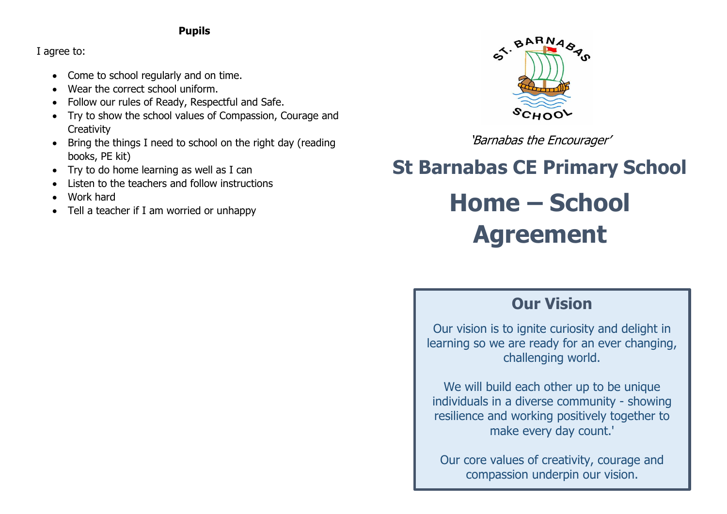#### **Pupils**

I agree to:

- Come to school regularly and on time.
- Wear the correct school uniform.
- Follow our rules of Ready, Respectful and Safe.
- Try to show the school values of Compassion, Courage and **Creativity**
- Bring the things I need to school on the right day (reading books, PE kit)
- Try to do home learning as well as I can
- Listen to the teachers and follow instructions
- Work hard
- Tell a teacher if I am worried or unhappy



'Barnabas the Encourager'

# **St Barnabas CE Primary School Home – School Agreement**

# **Our Vision**

Our vision is to ignite curiosity and delight in learning so we are ready for an ever changing, challenging world.

We will build each other up to be unique individuals in a diverse community - showing resilience and working positively together to make every day count.'

Our core values of creativity, courage and compassion underpin our vision.